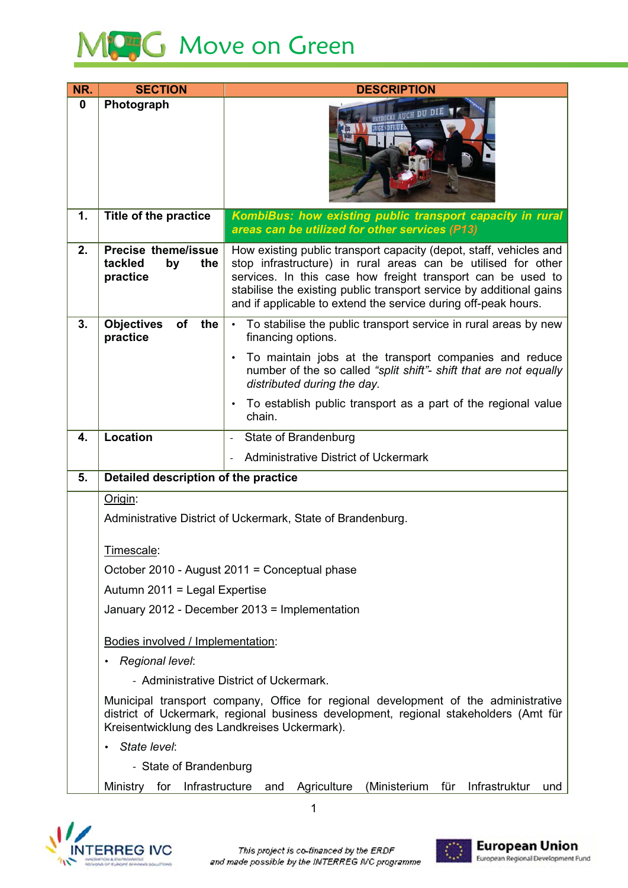

| NR.              | <b>SECTION</b>                                                                                                                                                                                                             | <b>DESCRIPTION</b>                                                                                                                                                                                                                                                                                                                          |  |
|------------------|----------------------------------------------------------------------------------------------------------------------------------------------------------------------------------------------------------------------------|---------------------------------------------------------------------------------------------------------------------------------------------------------------------------------------------------------------------------------------------------------------------------------------------------------------------------------------------|--|
| $\boldsymbol{0}$ | Photograph                                                                                                                                                                                                                 | <b>AUCH DU</b>                                                                                                                                                                                                                                                                                                                              |  |
| 1.               | Title of the practice                                                                                                                                                                                                      | KombiBus: how existing public transport capacity in rural<br>areas can be utilized for other services (P13)                                                                                                                                                                                                                                 |  |
| 2.               | <b>Precise theme/issue</b><br>tackled<br>the<br>by<br>practice                                                                                                                                                             | How existing public transport capacity (depot, staff, vehicles and<br>stop infrastructure) in rural areas can be utilised for other<br>services. In this case how freight transport can be used to<br>stabilise the existing public transport service by additional gains<br>and if applicable to extend the service during off-peak hours. |  |
| 3.               | <b>Objectives</b><br>of<br>the<br>practice                                                                                                                                                                                 | To stabilise the public transport service in rural areas by new<br>$\bullet$<br>financing options.                                                                                                                                                                                                                                          |  |
|                  |                                                                                                                                                                                                                            | To maintain jobs at the transport companies and reduce<br>$\bullet$<br>number of the so called "split shift"- shift that are not equally<br>distributed during the day.                                                                                                                                                                     |  |
|                  |                                                                                                                                                                                                                            | To establish public transport as a part of the regional value<br>chain.                                                                                                                                                                                                                                                                     |  |
| 4.               | <b>Location</b>                                                                                                                                                                                                            | State of Brandenburg<br>$\blacksquare$                                                                                                                                                                                                                                                                                                      |  |
|                  |                                                                                                                                                                                                                            | <b>Administrative District of Uckermark</b>                                                                                                                                                                                                                                                                                                 |  |
| 5.               | Detailed description of the practice                                                                                                                                                                                       |                                                                                                                                                                                                                                                                                                                                             |  |
|                  | Origin:                                                                                                                                                                                                                    |                                                                                                                                                                                                                                                                                                                                             |  |
|                  | Administrative District of Uckermark, State of Brandenburg.                                                                                                                                                                |                                                                                                                                                                                                                                                                                                                                             |  |
|                  | Timescale:                                                                                                                                                                                                                 |                                                                                                                                                                                                                                                                                                                                             |  |
|                  |                                                                                                                                                                                                                            | October 2010 - August 2011 = Conceptual phase                                                                                                                                                                                                                                                                                               |  |
|                  | Autumn 2011 = Legal Expertise                                                                                                                                                                                              |                                                                                                                                                                                                                                                                                                                                             |  |
|                  | January 2012 - December 2013 = Implementation                                                                                                                                                                              |                                                                                                                                                                                                                                                                                                                                             |  |
|                  | Bodies involved / Implementation:                                                                                                                                                                                          |                                                                                                                                                                                                                                                                                                                                             |  |
|                  | Regional level:                                                                                                                                                                                                            |                                                                                                                                                                                                                                                                                                                                             |  |
|                  |                                                                                                                                                                                                                            | - Administrative District of Uckermark.                                                                                                                                                                                                                                                                                                     |  |
|                  | Municipal transport company, Office for regional development of the administrative<br>district of Uckermark, regional business development, regional stakeholders (Amt für<br>Kreisentwicklung des Landkreises Uckermark). |                                                                                                                                                                                                                                                                                                                                             |  |
|                  | State level:<br>$\bullet$                                                                                                                                                                                                  |                                                                                                                                                                                                                                                                                                                                             |  |
|                  | - State of Brandenburg                                                                                                                                                                                                     |                                                                                                                                                                                                                                                                                                                                             |  |
|                  | Infrastructure<br>Ministry<br>for                                                                                                                                                                                          | (Ministerium<br>Infrastruktur<br>Agriculture<br>für<br>and<br>und                                                                                                                                                                                                                                                                           |  |



 $\mathbf{1}$ 

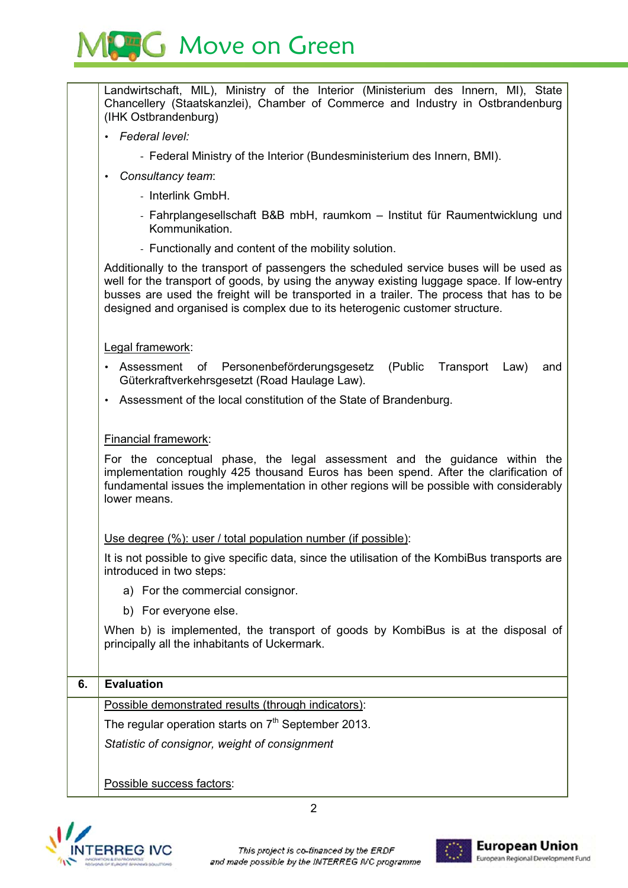## MC<sub>3</sub>G Move on Green

|    | Landwirtschaft, MIL), Ministry of the Interior (Ministerium des Innern, MI), State<br>Chancellery (Staatskanzlei), Chamber of Commerce and Industry in Ostbrandenburg<br>(IHK Ostbrandenburg)                                                                                                                                                                    |  |  |  |
|----|------------------------------------------------------------------------------------------------------------------------------------------------------------------------------------------------------------------------------------------------------------------------------------------------------------------------------------------------------------------|--|--|--|
|    | Federal level:                                                                                                                                                                                                                                                                                                                                                   |  |  |  |
|    | - Federal Ministry of the Interior (Bundesministerium des Innern, BMI).                                                                                                                                                                                                                                                                                          |  |  |  |
|    | Consultancy team:                                                                                                                                                                                                                                                                                                                                                |  |  |  |
|    | - Interlink GmbH.                                                                                                                                                                                                                                                                                                                                                |  |  |  |
|    | - Fahrplangesellschaft B&B mbH, raumkom - Institut für Raumentwicklung und<br>Kommunikation.                                                                                                                                                                                                                                                                     |  |  |  |
|    | - Functionally and content of the mobility solution.                                                                                                                                                                                                                                                                                                             |  |  |  |
|    | Additionally to the transport of passengers the scheduled service buses will be used as<br>well for the transport of goods, by using the anyway existing luggage space. If low-entry<br>busses are used the freight will be transported in a trailer. The process that has to be<br>designed and organised is complex due to its heterogenic customer structure. |  |  |  |
|    | Legal framework:                                                                                                                                                                                                                                                                                                                                                 |  |  |  |
|    | Personenbeförderungsgesetz (Public Transport<br>Assessment of<br>Law)<br>and<br>Güterkraftverkehrsgesetzt (Road Haulage Law).                                                                                                                                                                                                                                    |  |  |  |
|    | Assessment of the local constitution of the State of Brandenburg.                                                                                                                                                                                                                                                                                                |  |  |  |
|    |                                                                                                                                                                                                                                                                                                                                                                  |  |  |  |
|    | Financial framework:                                                                                                                                                                                                                                                                                                                                             |  |  |  |
|    | For the conceptual phase, the legal assessment and the guidance within the<br>implementation roughly 425 thousand Euros has been spend. After the clarification of<br>fundamental issues the implementation in other regions will be possible with considerably<br>lower means.                                                                                  |  |  |  |
|    | Use degree (%): user / total population number (if possible):                                                                                                                                                                                                                                                                                                    |  |  |  |
|    | It is not possible to give specific data, since the utilisation of the KombiBus transports are<br>introduced in two steps:                                                                                                                                                                                                                                       |  |  |  |
|    | a) For the commercial consignor.                                                                                                                                                                                                                                                                                                                                 |  |  |  |
|    | b) For everyone else.                                                                                                                                                                                                                                                                                                                                            |  |  |  |
|    | When b) is implemented, the transport of goods by KombiBus is at the disposal of<br>principally all the inhabitants of Uckermark.                                                                                                                                                                                                                                |  |  |  |
| 6. | <b>Evaluation</b>                                                                                                                                                                                                                                                                                                                                                |  |  |  |
|    | Possible demonstrated results (through indicators):                                                                                                                                                                                                                                                                                                              |  |  |  |
|    | The regular operation starts on $7th$ September 2013.                                                                                                                                                                                                                                                                                                            |  |  |  |
|    | Statistic of consignor, weight of consignment                                                                                                                                                                                                                                                                                                                    |  |  |  |
|    |                                                                                                                                                                                                                                                                                                                                                                  |  |  |  |
|    | Possible success factors:                                                                                                                                                                                                                                                                                                                                        |  |  |  |



2